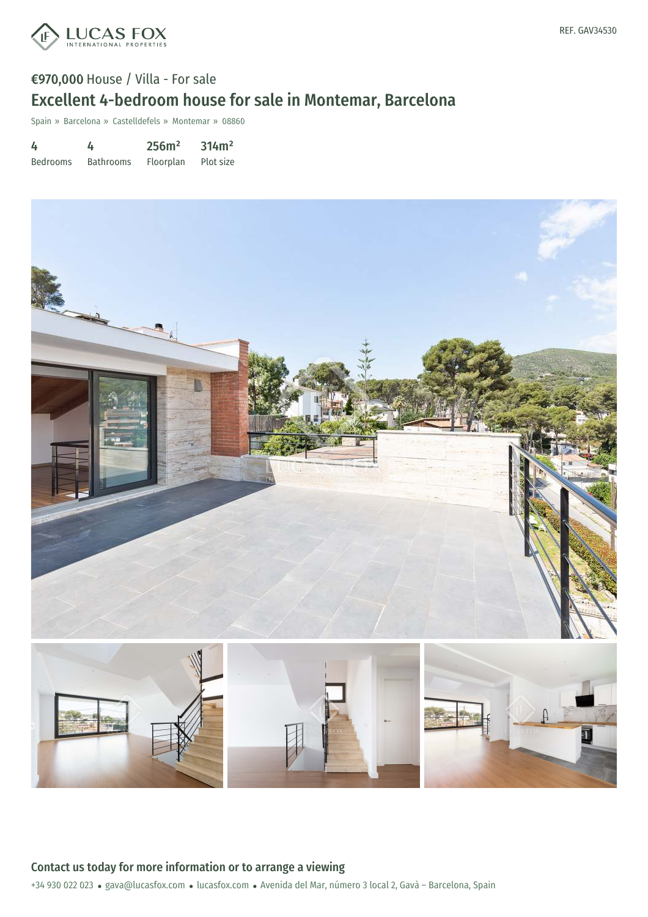

# €970,000 House / Villa - For sale Excellent 4-bedroom house for sale in Montemar, Barcelona

Spain » Barcelona » Castelldefels » Montemar » 08860

| 4               | 4                | 256m <sup>2</sup> | 314m <sup>2</sup> |
|-----------------|------------------|-------------------|-------------------|
| <b>Bedrooms</b> | <b>Bathrooms</b> | Floorplan         | Plot size         |

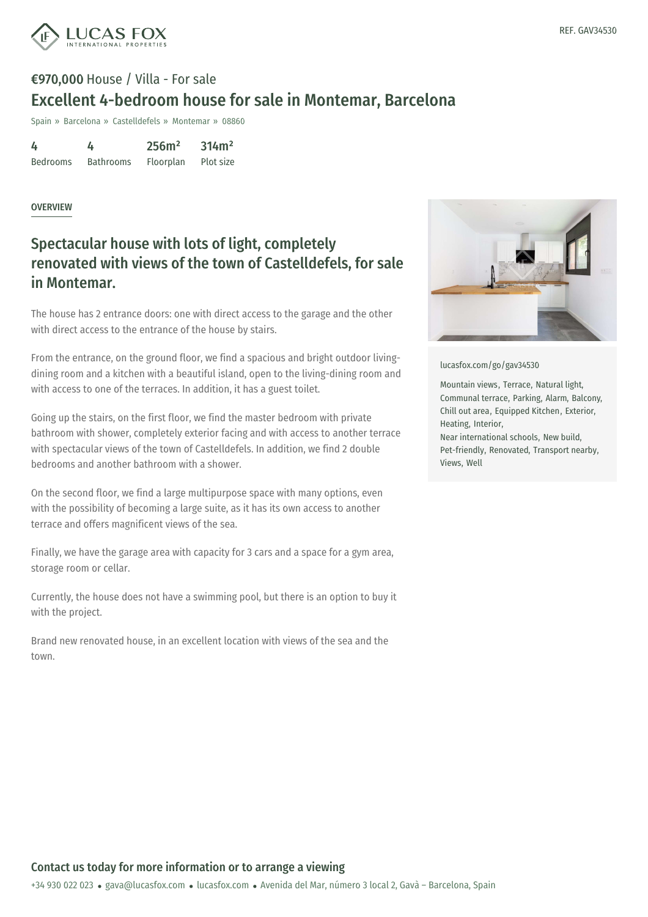

## €970,000 House / Villa - For sale Excellent 4-bedroom house for sale in Montemar, Barcelona

Spain » Barcelona » Castelldefels » Montemar » 08860

4 Bedrooms 4 Bathrooms 256m² Floorplan 314m² Plot size

#### OVERVIEW

## Spectacular house with lots of light, completely renovated with views of the town of Castelldefels, for sale in Montemar.

The house has 2 entrance doors: one with direct access to the garage and the other with direct access to the entrance of the house by stairs.

From the entrance, on the ground floor, we find a spacious and bright outdoor livingdining room and a kitchen with a beautiful island, open to the living-dining room and with access to one of the terraces. In addition, it has a guest toilet.

Going up the stairs, on the first floor, we find the master bedroom with private bathroom with shower, completely exterior facing and with access to another terrace with spectacular views of the town of Castelldefels. In addition, we find 2 double bedrooms and another bathroom with a shower.

On the second floor, we find a large multipurpose space with many options, even with the possibility of becoming a large suite, as it has its own access to another terrace and offers magnificent views of the sea.

Finally, we have the garage area with capacity for 3 cars and a space for a gym area, storage room or cellar.

Currently, the house does not have a swimming pool, but there is an option to buy it with the project.

Brand new renovated house, in an excellent location with views of the sea and the town.



[lucasfox.com/go/gav34530](https://www.lucasfox.com/go/gav34530)

Mountain views, Terrace, Natural light, Communal terrace, Parking, Alarm, Balcony, Chill out area, Equipped Kitchen, Exterior, Heating, Interior, Near international schools, New build, Pet-friendly, Renovated, Transport nearby, Views, Well